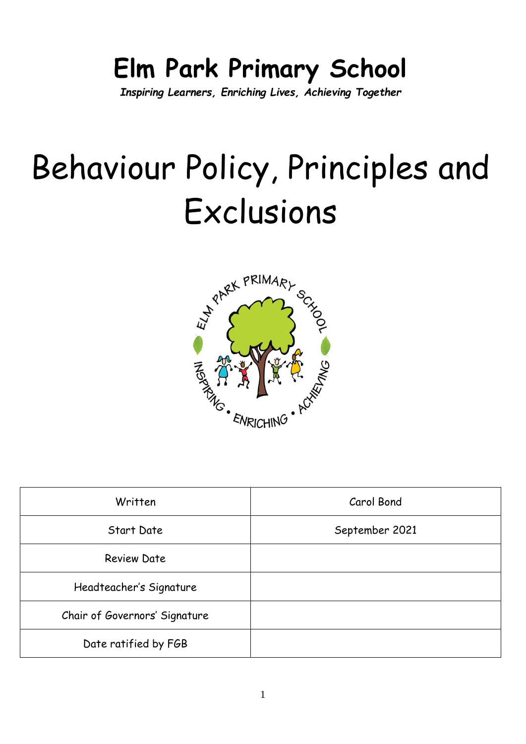# **Elm Park Primary School**

*Inspiring Learners, Enriching Lives, Achieving Together*

# Behaviour Policy, Principles and Exclusions



| Written                       | Carol Bond     |
|-------------------------------|----------------|
| Start Date                    | September 2021 |
| <b>Review Date</b>            |                |
| Headteacher's Signature       |                |
| Chair of Governors' Signature |                |
| Date ratified by FGB          |                |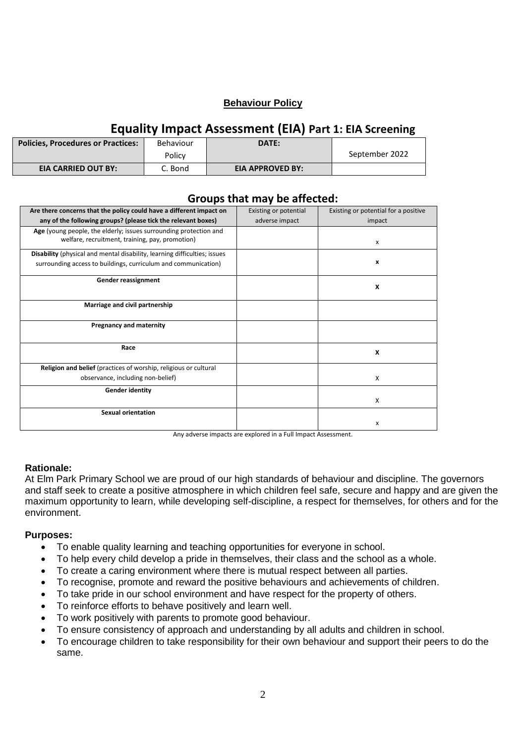#### **Behaviour Policy**

# **Equality Impact Assessment (EIA) Part 1: EIA Screening**

| <b>Policies, Procedures or Practices:</b> | Behaviour | DATE:                   |                |
|-------------------------------------------|-----------|-------------------------|----------------|
|                                           | Policy    |                         | September 2022 |
| <b>EIA CARRIED OUT BY:</b>                | C. Bond   | <b>EIA APPROVED BY:</b> |                |

| Groups that may be arrected.                                              |                       |                                      |
|---------------------------------------------------------------------------|-----------------------|--------------------------------------|
| Are there concerns that the policy could have a different impact on       | Existing or potential | Existing or potential for a positive |
| any of the following groups? (please tick the relevant boxes)             | adverse impact        | impact                               |
| Age (young people, the elderly; issues surrounding protection and         |                       |                                      |
| welfare, recruitment, training, pay, promotion)                           |                       | x                                    |
| Disability (physical and mental disability, learning difficulties; issues |                       |                                      |
| surrounding access to buildings, curriculum and communication)            |                       | x                                    |
| Gender reassignment                                                       |                       | X                                    |
|                                                                           |                       |                                      |
| Marriage and civil partnership                                            |                       |                                      |
|                                                                           |                       |                                      |
| <b>Pregnancy and maternity</b>                                            |                       |                                      |
| Race                                                                      |                       | X                                    |
|                                                                           |                       |                                      |
| Religion and belief (practices of worship, religious or cultural          |                       |                                      |
| observance, including non-belief)                                         |                       | X                                    |
| <b>Gender identity</b>                                                    |                       |                                      |
|                                                                           |                       | X                                    |
| <b>Sexual orientation</b>                                                 |                       |                                      |
|                                                                           |                       | x                                    |
|                                                                           |                       |                                      |

**Groups that may be affected:**

Any adverse impacts are explored in a Full Impact Assessment.

#### **Rationale:**

At Elm Park Primary School we are proud of our high standards of behaviour and discipline. The governors and staff seek to create a positive atmosphere in which children feel safe, secure and happy and are given the maximum opportunity to learn, while developing self-discipline, a respect for themselves, for others and for the environment.

#### **Purposes:**

- To enable quality learning and teaching opportunities for everyone in school.
- To help every child develop a pride in themselves, their class and the school as a whole.
- To create a caring environment where there is mutual respect between all parties.
- To recognise, promote and reward the positive behaviours and achievements of children.
- To take pride in our school environment and have respect for the property of others.
- To reinforce efforts to behave positively and learn well.
- To work positively with parents to promote good behaviour.
- To ensure consistency of approach and understanding by all adults and children in school.
- To encourage children to take responsibility for their own behaviour and support their peers to do the same.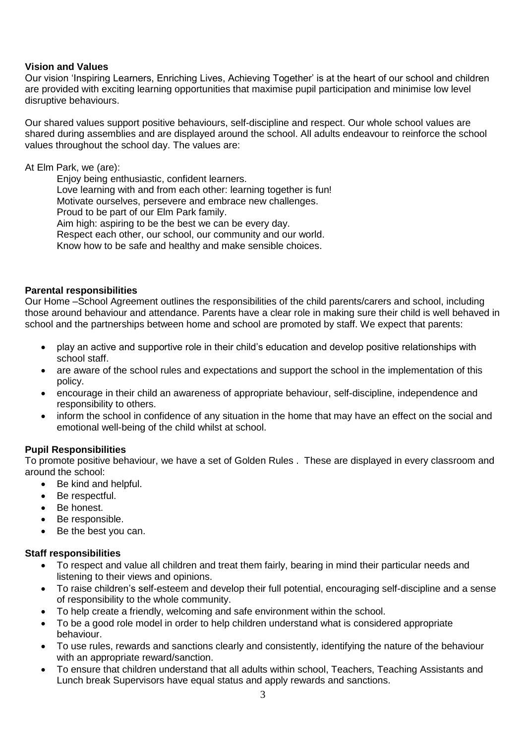#### **Vision and Values**

Our vision 'Inspiring Learners, Enriching Lives, Achieving Together' is at the heart of our school and children are provided with exciting learning opportunities that maximise pupil participation and minimise low level disruptive behaviours.

Our shared values support positive behaviours, self-discipline and respect. Our whole school values are shared during assemblies and are displayed around the school. All adults endeavour to reinforce the school values throughout the school day. The values are:

#### At Elm Park, we (are):

Enjoy being enthusiastic, confident learners.

Love learning with and from each other: learning together is fun!

Motivate ourselves, persevere and embrace new challenges.

Proud to be part of our Elm Park family.

Aim high: aspiring to be the best we can be every day.

Respect each other, our school, our community and our world.

Know how to be safe and healthy and make sensible choices.

#### **Parental responsibilities**

Our Home –School Agreement outlines the responsibilities of the child parents/carers and school, including those around behaviour and attendance. Parents have a clear role in making sure their child is well behaved in school and the partnerships between home and school are promoted by staff. We expect that parents:

- play an active and supportive role in their child's education and develop positive relationships with school staff.
- are aware of the school rules and expectations and support the school in the implementation of this policy.
- encourage in their child an awareness of appropriate behaviour, self-discipline, independence and responsibility to others.
- inform the school in confidence of any situation in the home that may have an effect on the social and emotional well-being of the child whilst at school.

#### **Pupil Responsibilities**

To promote positive behaviour, we have a set of Golden Rules . These are displayed in every classroom and around the school:

- Be kind and helpful.
- Be respectful.
- Be honest.
- Be responsible.
- Be the best you can.

#### **Staff responsibilities**

- To respect and value all children and treat them fairly, bearing in mind their particular needs and listening to their views and opinions.
- To raise children's self-esteem and develop their full potential, encouraging self-discipline and a sense of responsibility to the whole community.
- To help create a friendly, welcoming and safe environment within the school.
- To be a good role model in order to help children understand what is considered appropriate behaviour.
- To use rules, rewards and sanctions clearly and consistently, identifying the nature of the behaviour with an appropriate reward/sanction.
- To ensure that children understand that all adults within school, Teachers, Teaching Assistants and Lunch break Supervisors have equal status and apply rewards and sanctions.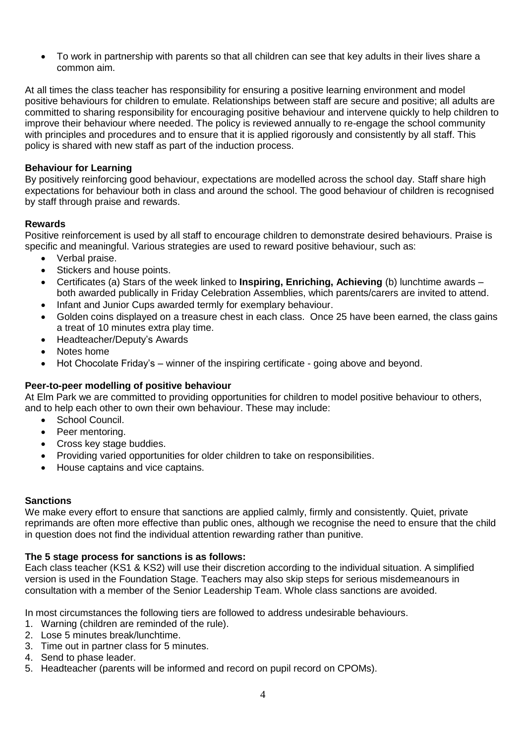To work in partnership with parents so that all children can see that key adults in their lives share a common aim.

At all times the class teacher has responsibility for ensuring a positive learning environment and model positive behaviours for children to emulate. Relationships between staff are secure and positive; all adults are committed to sharing responsibility for encouraging positive behaviour and intervene quickly to help children to improve their behaviour where needed. The policy is reviewed annually to re-engage the school community with principles and procedures and to ensure that it is applied rigorously and consistently by all staff. This policy is shared with new staff as part of the induction process.

#### **Behaviour for Learning**

By positively reinforcing good behaviour, expectations are modelled across the school day. Staff share high expectations for behaviour both in class and around the school. The good behaviour of children is recognised by staff through praise and rewards.

#### **Rewards**

Positive reinforcement is used by all staff to encourage children to demonstrate desired behaviours. Praise is specific and meaningful. Various strategies are used to reward positive behaviour, such as:

- Verbal praise.
- Stickers and house points.
- Certificates (a) Stars of the week linked to **Inspiring, Enriching, Achieving** (b) lunchtime awards both awarded publically in Friday Celebration Assemblies, which parents/carers are invited to attend.
- Infant and Junior Cups awarded termly for exemplary behaviour.
- Golden coins displayed on a treasure chest in each class. Once 25 have been earned, the class gains a treat of 10 minutes extra play time.
- Headteacher/Deputy's Awards
- Notes home
- Hot Chocolate Friday's winner of the inspiring certificate going above and beyond.

#### **Peer-to-peer modelling of positive behaviour**

At Elm Park we are committed to providing opportunities for children to model positive behaviour to others, and to help each other to own their own behaviour. These may include:

- School Council.
- Peer mentoring.
- Cross key stage buddies.
- Providing varied opportunities for older children to take on responsibilities.
- House captains and vice captains.

#### **Sanctions**

We make every effort to ensure that sanctions are applied calmly, firmly and consistently. Quiet, private reprimands are often more effective than public ones, although we recognise the need to ensure that the child in question does not find the individual attention rewarding rather than punitive.

#### **The 5 stage process for sanctions is as follows:**

Each class teacher (KS1 & KS2) will use their discretion according to the individual situation. A simplified version is used in the Foundation Stage. Teachers may also skip steps for serious misdemeanours in consultation with a member of the Senior Leadership Team. Whole class sanctions are avoided.

In most circumstances the following tiers are followed to address undesirable behaviours.

- 1. Warning (children are reminded of the rule).
- 2. Lose 5 minutes break/lunchtime.
- 3. Time out in partner class for 5 minutes.
- 4. Send to phase leader.
- 5. Headteacher (parents will be informed and record on pupil record on CPOMs).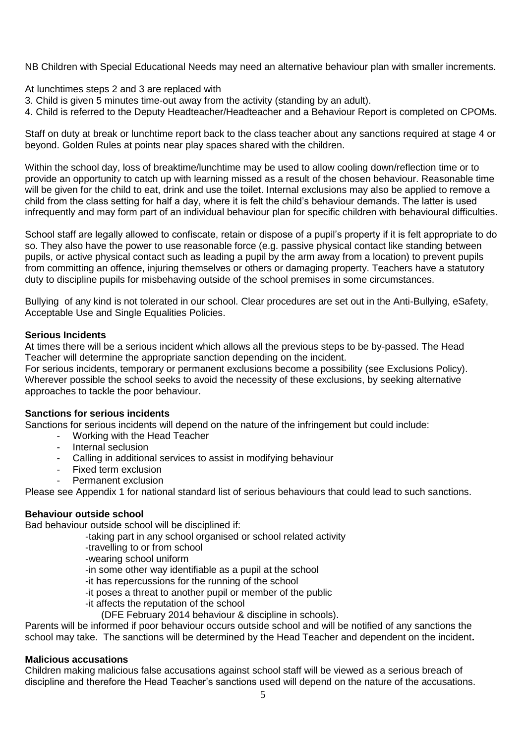NB Children with Special Educational Needs may need an alternative behaviour plan with smaller increments.

At lunchtimes steps 2 and 3 are replaced with

- 3. Child is given 5 minutes time-out away from the activity (standing by an adult).
- 4. Child is referred to the Deputy Headteacher/Headteacher and a Behaviour Report is completed on CPOMs.

Staff on duty at break or lunchtime report back to the class teacher about any sanctions required at stage 4 or beyond. Golden Rules at points near play spaces shared with the children.

Within the school day, loss of breaktime/lunchtime may be used to allow cooling down/reflection time or to provide an opportunity to catch up with learning missed as a result of the chosen behaviour. Reasonable time will be given for the child to eat, drink and use the toilet. Internal exclusions may also be applied to remove a child from the class setting for half a day, where it is felt the child's behaviour demands. The latter is used infrequently and may form part of an individual behaviour plan for specific children with behavioural difficulties.

School staff are legally allowed to confiscate, retain or dispose of a pupil's property if it is felt appropriate to do so. They also have the power to use reasonable force (e.g. passive physical contact like standing between pupils, or active physical contact such as leading a pupil by the arm away from a location) to prevent pupils from committing an offence, injuring themselves or others or damaging property. Teachers have a statutory duty to discipline pupils for misbehaving outside of the school premises in some circumstances.

Bullying of any kind is not tolerated in our school. Clear procedures are set out in the Anti-Bullying, eSafety, Acceptable Use and Single Equalities Policies.

#### **Serious Incidents**

At times there will be a serious incident which allows all the previous steps to be by-passed. The Head Teacher will determine the appropriate sanction depending on the incident.

For serious incidents, temporary or permanent exclusions become a possibility (see Exclusions Policy). Wherever possible the school seeks to avoid the necessity of these exclusions, by seeking alternative approaches to tackle the poor behaviour.

#### **Sanctions for serious incidents**

Sanctions for serious incidents will depend on the nature of the infringement but could include:

- Working with the Head Teacher
- Internal seclusion
- Calling in additional services to assist in modifying behaviour
- Fixed term exclusion
- Permanent exclusion

Please see Appendix 1 for national standard list of serious behaviours that could lead to such sanctions.

#### **Behaviour outside school**

Bad behaviour outside school will be disciplined if:

- -taking part in any school organised or school related activity
- -travelling to or from school
- -wearing school uniform
- -in some other way identifiable as a pupil at the school
- -it has repercussions for the running of the school
- -it poses a threat to another pupil or member of the public
- -it affects the reputation of the school
	- (DFE February 2014 behaviour & discipline in schools).

Parents will be informed if poor behaviour occurs outside school and will be notified of any sanctions the school may take. The sanctions will be determined by the Head Teacher and dependent on the incident**.**

#### **Malicious accusations**

Children making malicious false accusations against school staff will be viewed as a serious breach of discipline and therefore the Head Teacher's sanctions used will depend on the nature of the accusations.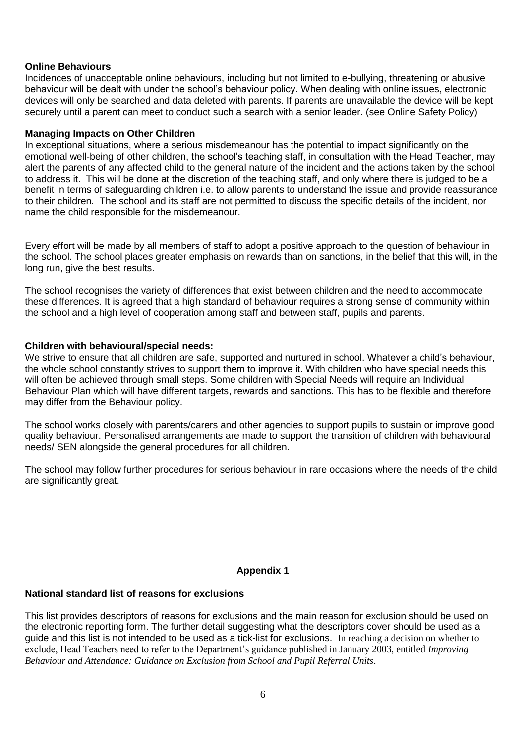#### **Online Behaviours**

Incidences of unacceptable online behaviours, including but not limited to e-bullying, threatening or abusive behaviour will be dealt with under the school's behaviour policy. When dealing with online issues, electronic devices will only be searched and data deleted with parents. If parents are unavailable the device will be kept securely until a parent can meet to conduct such a search with a senior leader. (see Online Safety Policy)

#### **Managing Impacts on Other Children**

In exceptional situations, where a serious misdemeanour has the potential to impact significantly on the emotional well-being of other children, the school's teaching staff, in consultation with the Head Teacher, may alert the parents of any affected child to the general nature of the incident and the actions taken by the school to address it. This will be done at the discretion of the teaching staff, and only where there is judged to be a benefit in terms of safeguarding children i.e. to allow parents to understand the issue and provide reassurance to their children. The school and its staff are not permitted to discuss the specific details of the incident, nor name the child responsible for the misdemeanour.

Every effort will be made by all members of staff to adopt a positive approach to the question of behaviour in the school. The school places greater emphasis on rewards than on sanctions, in the belief that this will, in the long run, give the best results.

The school recognises the variety of differences that exist between children and the need to accommodate these differences. It is agreed that a high standard of behaviour requires a strong sense of community within the school and a high level of cooperation among staff and between staff, pupils and parents.

#### **Children with behavioural/special needs:**

We strive to ensure that all children are safe, supported and nurtured in school. Whatever a child's behaviour, the whole school constantly strives to support them to improve it. With children who have special needs this will often be achieved through small steps. Some children with Special Needs will require an Individual Behaviour Plan which will have different targets, rewards and sanctions. This has to be flexible and therefore may differ from the Behaviour policy.

The school works closely with parents/carers and other agencies to support pupils to sustain or improve good quality behaviour. Personalised arrangements are made to support the transition of children with behavioural needs/ SEN alongside the general procedures for all children.

The school may follow further procedures for serious behaviour in rare occasions where the needs of the child are significantly great.

#### **Appendix 1**

# **National standard list of reasons for exclusions**

This list provides descriptors of reasons for exclusions and the main reason for exclusion should be used on the electronic reporting form. The further detail suggesting what the descriptors cover should be used as a guide and this list is not intended to be used as a tick-list for exclusions. In reaching a decision on whether to exclude, Head Teachers need to refer to the Department's guidance published in January 2003, entitled *Improving Behaviour and Attendance: Guidance on Exclusion from School and Pupil Referral Units*.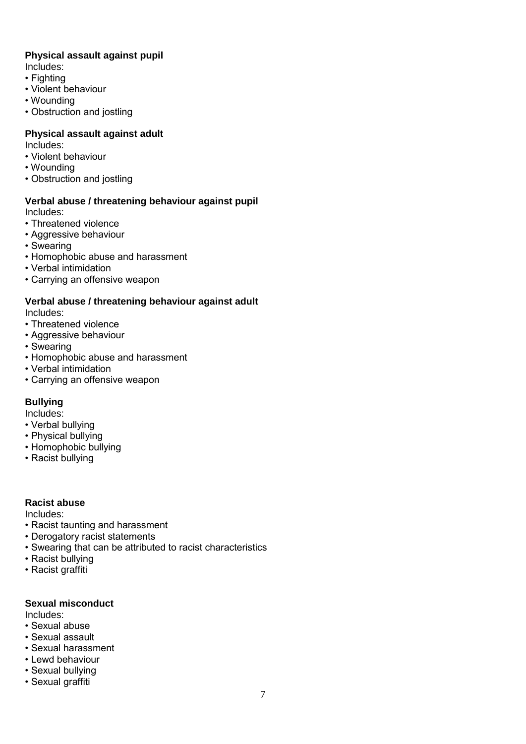#### **Physical assault against pupil**

Includes:

- Fighting
- Violent behaviour
- Wounding
- Obstruction and jostling

#### **Physical assault against adult**

Includes:

- Violent behaviour
- Wounding
- Obstruction and jostling

#### **Verbal abuse / threatening behaviour against pupil** Includes:

- Threatened violence
- Aggressive behaviour
- Swearing
- Homophobic abuse and harassment
- Verbal intimidation
- Carrying an offensive weapon

#### **Verbal abuse / threatening behaviour against adult** Includes:

- Threatened violence
- Aggressive behaviour
- Swearing
- Homophobic abuse and harassment
- Verbal intimidation
- Carrying an offensive weapon

#### **Bullying**

Includes:

- Verbal bullying
- Physical bullying
- Homophobic bullying
- Racist bullying

#### **Racist abuse**

Includes:

- Racist taunting and harassment
- Derogatory racist statements
- Swearing that can be attributed to racist characteristics
- Racist bullying
- Racist graffiti

#### **Sexual misconduct**

Includes:

- Sexual abuse
- Sexual assault
- Sexual harassment
- Lewd behaviour
- Sexual bullying • Sexual graffiti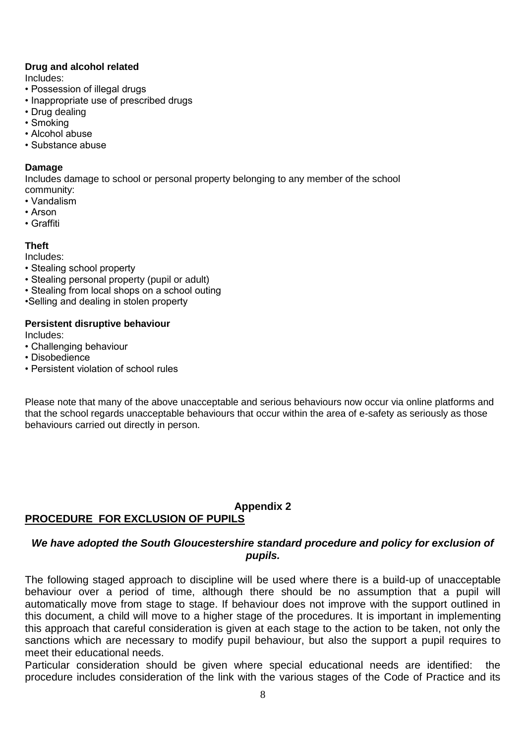#### **Drug and alcohol related**

Includes:

- Possession of illegal drugs
- Inappropriate use of prescribed drugs
- Drug dealing
- Smoking
- Alcohol abuse
- Substance abuse

#### **Damage**

Includes damage to school or personal property belonging to any member of the school community:

- Vandalism
- Arson
- Graffiti

#### **Theft**

Includes:

- Stealing school property
- Stealing personal property (pupil or adult)
- Stealing from local shops on a school outing
- •Selling and dealing in stolen property

#### **Persistent disruptive behaviour**

Includes:

- Challenging behaviour
- Disobedience
- Persistent violation of school rules

Please note that many of the above unacceptable and serious behaviours now occur via online platforms and that the school regards unacceptable behaviours that occur within the area of e-safety as seriously as those behaviours carried out directly in person.

# **Appendix 2**

# **PROCEDURE FOR EXCLUSION OF PUPILS**

#### *We have adopted the South Gloucestershire standard procedure and policy for exclusion of pupils.*

The following staged approach to discipline will be used where there is a build-up of unacceptable behaviour over a period of time, although there should be no assumption that a pupil will automatically move from stage to stage. If behaviour does not improve with the support outlined in this document, a child will move to a higher stage of the procedures. It is important in implementing this approach that careful consideration is given at each stage to the action to be taken, not only the sanctions which are necessary to modify pupil behaviour, but also the support a pupil requires to meet their educational needs.

Particular consideration should be given where special educational needs are identified: the procedure includes consideration of the link with the various stages of the Code of Practice and its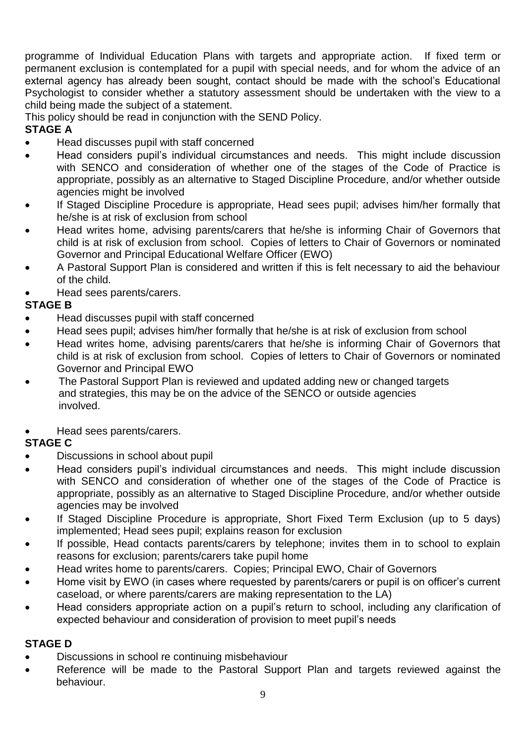programme of Individual Education Plans with targets and appropriate action. If fixed term or permanent exclusion is contemplated for a pupil with special needs, and for whom the advice of an external agency has already been sought, contact should be made with the school's Educational Psychologist to consider whether a statutory assessment should be undertaken with the view to a child being made the subject of a statement.

This policy should be read in conjunction with the SEND Policy.

# **STAGE A**

- Head discusses pupil with staff concerned
- Head considers pupil's individual circumstances and needs. This might include discussion with SENCO and consideration of whether one of the stages of the Code of Practice is appropriate, possibly as an alternative to Staged Discipline Procedure, and/or whether outside agencies might be involved
- If Staged Discipline Procedure is appropriate, Head sees pupil; advises him/her formally that he/she is at risk of exclusion from school
- Head writes home, advising parents/carers that he/she is informing Chair of Governors that child is at risk of exclusion from school. Copies of letters to Chair of Governors or nominated Governor and Principal Educational Welfare Officer (EWO)
- A Pastoral Support Plan is considered and written if this is felt necessary to aid the behaviour of the child.
- Head sees parents/carers.

# **STAGE B**

- Head discusses pupil with staff concerned
- Head sees pupil; advises him/her formally that he/she is at risk of exclusion from school
- Head writes home, advising parents/carers that he/she is informing Chair of Governors that child is at risk of exclusion from school. Copies of letters to Chair of Governors or nominated Governor and Principal EWO
- The Pastoral Support Plan is reviewed and updated adding new or changed targets and strategies, this may be on the advice of the SENCO or outside agencies involved.
- Head sees parents/carers.

# **STAGE C**

- Discussions in school about pupil
- Head considers pupil's individual circumstances and needs. This might include discussion with SENCO and consideration of whether one of the stages of the Code of Practice is appropriate, possibly as an alternative to Staged Discipline Procedure, and/or whether outside agencies may be involved
- If Staged Discipline Procedure is appropriate, Short Fixed Term Exclusion (up to 5 days) implemented; Head sees pupil; explains reason for exclusion
- If possible, Head contacts parents/carers by telephone; invites them in to school to explain reasons for exclusion; parents/carers take pupil home
- Head writes home to parents/carers. Copies; Principal EWO, Chair of Governors
- Home visit by EWO (in cases where requested by parents/carers or pupil is on officer's current caseload, or where parents/carers are making representation to the LA)
- Head considers appropriate action on a pupil's return to school, including any clarification of expected behaviour and consideration of provision to meet pupil's needs

# **STAGE D**

- Discussions in school re continuing misbehaviour
- Reference will be made to the Pastoral Support Plan and targets reviewed against the behaviour.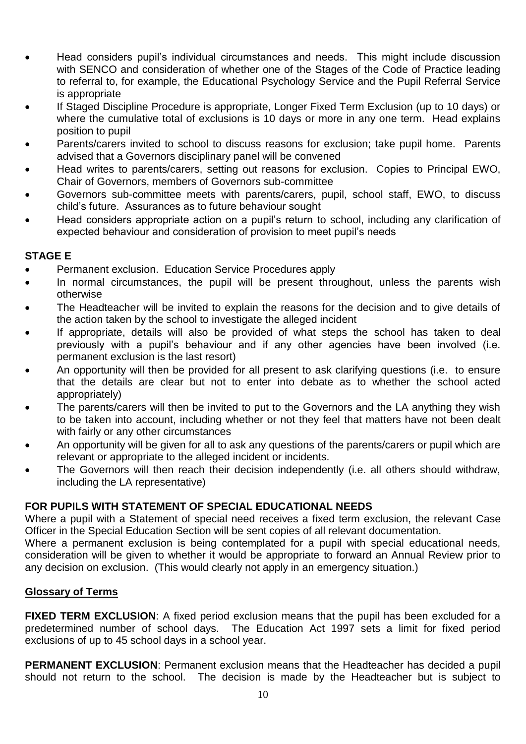- Head considers pupil's individual circumstances and needs. This might include discussion with SENCO and consideration of whether one of the Stages of the Code of Practice leading to referral to, for example, the Educational Psychology Service and the Pupil Referral Service is appropriate
- If Staged Discipline Procedure is appropriate, Longer Fixed Term Exclusion (up to 10 days) or where the cumulative total of exclusions is 10 days or more in any one term. Head explains position to pupil
- Parents/carers invited to school to discuss reasons for exclusion; take pupil home. Parents advised that a Governors disciplinary panel will be convened
- Head writes to parents/carers, setting out reasons for exclusion. Copies to Principal EWO, Chair of Governors, members of Governors sub-committee
- Governors sub-committee meets with parents/carers, pupil, school staff, EWO, to discuss child's future. Assurances as to future behaviour sought
- Head considers appropriate action on a pupil's return to school, including any clarification of expected behaviour and consideration of provision to meet pupil's needs

#### **STAGE E**

- Permanent exclusion. Education Service Procedures apply
- In normal circumstances, the pupil will be present throughout, unless the parents wish otherwise
- The Headteacher will be invited to explain the reasons for the decision and to give details of the action taken by the school to investigate the alleged incident
- If appropriate, details will also be provided of what steps the school has taken to deal previously with a pupil's behaviour and if any other agencies have been involved (i.e. permanent exclusion is the last resort)
- An opportunity will then be provided for all present to ask clarifying questions (i.e. to ensure that the details are clear but not to enter into debate as to whether the school acted appropriately)
- The parents/carers will then be invited to put to the Governors and the LA anything they wish to be taken into account, including whether or not they feel that matters have not been dealt with fairly or any other circumstances
- An opportunity will be given for all to ask any questions of the parents/carers or pupil which are relevant or appropriate to the alleged incident or incidents.
- The Governors will then reach their decision independently (i.e. all others should withdraw, including the LA representative)

# **FOR PUPILS WITH STATEMENT OF SPECIAL EDUCATIONAL NEEDS**

Where a pupil with a Statement of special need receives a fixed term exclusion, the relevant Case Officer in the Special Education Section will be sent copies of all relevant documentation.

Where a permanent exclusion is being contemplated for a pupil with special educational needs, consideration will be given to whether it would be appropriate to forward an Annual Review prior to any decision on exclusion. (This would clearly not apply in an emergency situation.)

#### **Glossary of Terms**

**FIXED TERM EXCLUSION:** A fixed period exclusion means that the pupil has been excluded for a predetermined number of school days. The Education Act 1997 sets a limit for fixed period exclusions of up to 45 school days in a school year.

**PERMANENT EXCLUSION**: Permanent exclusion means that the Headteacher has decided a pupil should not return to the school. The decision is made by the Headteacher but is subject to